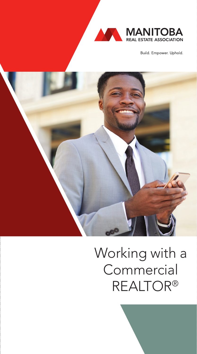

Build. Empower. Uphold.



# Working with a **Commercial** REALTOR®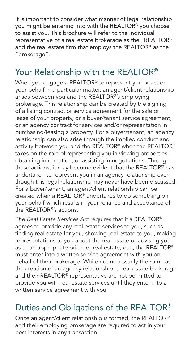It is important to consider what manner of legal relationship you might be entering into with the REALTOR<sup>®</sup> you choose to assist you. This brochure will refer to the individual representative of a real estate brokerage as the "REALTOR®" and the real estate firm that employs the REALTOR® as the "brokerage".

## Your Relationship with the REALTOR®

When you engage a REALTOR<sup>®</sup> to represent you or act on your behalf in a particular matter, an agent/client relationship arises between you and the REALTOR®'s employing brokerage. This relationship can be created by the signing of a listing contract or service agreement for the sale or lease of your property, or a buyer/tenant service agreement, or an agency contract for services and/or representation in purchasing/leasing a property. For a buyer/tenant, an agency relationship can also arise through the implied conduct and activity between you and the REALTOR® when the REALTOR® takes on the role of representing you in viewing properties, obtaining information, or assisting in negotiations. Through these actions, it may become evident that the REALTOR® has undertaken to represent you in an agency relationship even though this legal relationship may never have been discussed. For a buyer/tenant, an agent/client relationship can be created when a REALTOR® undertakes to do something on your behalf which results in your reliance and acceptance of the REALTOR®'s actions.

*The Real Estate Services Act* requires that if a REALTOR® agrees to provide any real estate services to you, such as finding real estate for you, showing real estate to you, making representations to you about the real estate or advising you as to an appropriate price for real estate, etc., the REALTOR® must enter into a written service agreement with you on behalf of their brokerage. While not necessarily the same as the creation of an agency relationship, a real estate brokerage and their REALTOR® representative are not permitted to provide you with real estate services until they enter into a written service agreement with you.

## Duties and Obligations of the REALTOR®

Once an agent/client relationship is formed, the REALTOR® and their employing brokerage are required to act in your best interests in any transaction.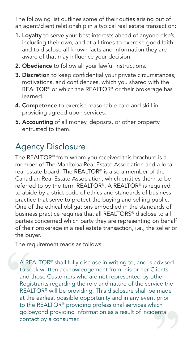The following list outlines some of their duties arising out of an agent/client relationship in a typical real estate transaction:

- 1. Loyalty to serve your best interests ahead of anyone else's, including their own, and at all times to exercise good faith and to disclose all known facts and information they are aware of that may influence your decision.
- 2. Obedience to follow all your lawful instructions.
- 3. Discretion to keep confidential your private circumstances, motivations, and confidences, which you shared with the REALTOR® or which the REALTOR® or their brokerage has learned.
- 4. Competence to exercise reasonable care and skill in providing agreed-upon services.
- 5. Accounting of all money, deposits, or other property entrusted to them.

## Agency Disclosure

The REALTOR® from whom you received this brochure is a member of The Manitoba Real Estate Association and a local real estate board. The REALTOR® is also a member of the Canadian Real Estate Association, which entitles them to be referred to by the term REALTOR®. A REALTOR® is required to abide by a strict code of ethics and standards of business practice that serve to protect the buying and selling public. One of the ethical obligations embodied in the standards of business practice requires that all REALTORS® disclose to all parties concerned which party they are representing on behalf of their brokerage in a real estate transaction, i.e., the seller or the buyer.

The requirement reads as follows:

A REALTOR® shall fully disclose in writing to, and is advised to seek written acknowledgement from, his or her Clients and those Customers who are not represented by other Registrants regarding the role and nature of the service the REALTOR® will be providing. This disclosure shall be made at the earliest possible opportunity and in any event prior to the REALTOR® providing professional services which go beyond providing information as a result of incidental contact by a consumer.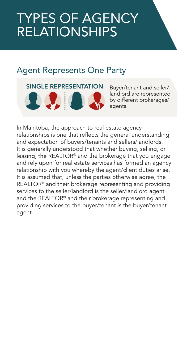## TYPES OF AGENCY **RELATIONSHIPS**

## Agent Represents One Party

SINGLE REPRESENTATION Buyer/tenant and seller/ **1904** 

landlord are represented by different brokerages/ agents.

In Manitoba, the approach to real estate agency relationships is one that reflects the general understanding and expectation of buyers/tenants and sellers/landlords. It is generally understood that whether buying, selling, or leasing, the REALTOR® and the brokerage that you engage and rely upon for real estate services has formed an agency relationship with you whereby the agent/client duties arise. It is assumed that, unless the parties otherwise agree, the REALTOR® and their brokerage representing and providing services to the seller/landlord is the seller/landlord agent and the REALTOR® and their brokerage representing and providing services to the buyer/tenant is the buyer/tenant agent.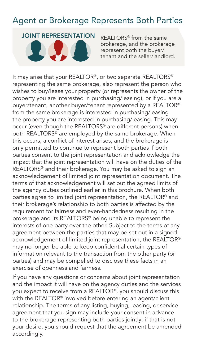## Agent or Brokerage Represents Both Parties

#### JOINT REPRESENTATION



REALTORS® from the same brokerage, and the brokerage represent both the buyer/ tenant and the seller/landlord.

It may arise that your REALTOR®, or two separate REALTORS® representing the same brokerage, also represent the person who wishes to buy/lease your property (or represents the owner of the property you are interested in purchasing/leasing), or if you are a buyer/tenant, another buyer/tenant represented by a REALTOR® from the same brokerage is interested in purchasing/leasing the property you are interested in purchasing/leasing. This may occur (even though the REALTORS® are different persons) when both REALTORS® are employed by the same brokerage. When this occurs, a conflict of interest arises, and the brokerage is only permitted to continue to represent both parties if both parties consent to the joint representation and acknowledge the impact that the joint representation will have on the duties of the REALTORS® and their brokerage. You may be asked to sign an acknowledgement of limited joint representation document. The terms of that acknowledgement will set out the agreed limits of the agency duties outlined earlier in this brochure. When both parties agree to limited joint representation, the REALTOR® and their brokerage's relationship to both parties is affected by the requirement for fairness and even-handedness resulting in the brokerage and its REALTORS® being unable to represent the interests of one party over the other. Subject to the terms of any agreement between the parties that may be set out in a signed acknowledgement of limited joint representation, the REALTOR® may no longer be able to keep confidential certain types of information relevant to the transaction from the other party (or parties) and may be compelled to disclose these facts in an exercise of openness and fairness.

If you have any questions or concerns about joint representation and the impact it will have on the agency duties and the services you expect to receive from a REALTOR®, you should discuss this with the REALTOR® involved before entering an agent/client relationship. The terms of any listing, buying, leasing, or service agreement that you sign may include your consent in advance to the brokerage representing both parties jointly; if that is not your desire, you should request that the agreement be amended accordingly.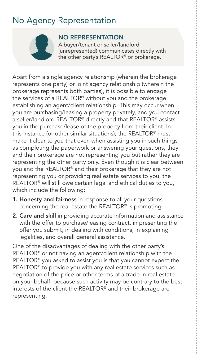## No Agency Representation



#### NO REPRESENTATION

A buyer/tenant or seller/landlord (unrepresented) communicates directly with the other party's REALTOR® or brokerage.

Apart from a single agency relationship (wherein the brokerage represents one party) or joint agency relationship (wherein the brokerage represents both parties), it is possible to engage the services of a REALTOR® without you and the brokerage establishing an agent/client relationship. This may occur when you are purchasing/leasing a property privately, and you contact a seller/landlord REALTOR® directly and that REALTOR® assists you in the purchase/lease of the property from their client. In this instance (or other similar situations), the REALTOR® must make it clear to you that even when assisting you in such things as completing the paperwork or answering your questions, they and their brokerage are not representing you but rather they are representing the other party only. Even though it is clear between you and the REALTOR® and their brokerage that they are not representing you or providing real estate services to you, the REALTOR® will still owe certain legal and ethical duties to you, which include the following:

- 1. Honesty and fairness in response to all your questions concerning the real estate the REALTOR® is promoting.
- 2. Care and skill in providing accurate information and assistance with the offer to purchase/leasing contract, in presenting the offer you submit, in dealing with conditions, in explaining legalities, and overall general assistance.

One of the disadvantages of dealing with the other party's REALTOR® or not having an agent/client relationship with the REALTOR® you asked to assist you is that you cannot expect the REALTOR® to provide you with any real estate services such as negotiation of the price or other terms of a trade in real estate on your behalf, because such activity may be contrary to the best interests of the client the REALTOR® and their brokerage are representing.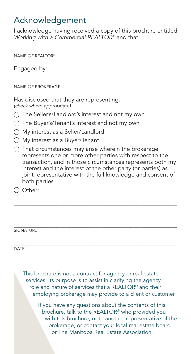## Acknowledgement

I acknowledge having received a copy of this brochure entitled *Working with a Commercial REALTOR®* and that:

\_\_\_\_\_\_\_\_\_\_\_\_\_\_\_\_\_\_\_\_\_\_\_\_\_\_\_\_\_\_\_\_\_\_\_\_\_\_\_\_\_\_\_\_\_\_\_\_\_\_\_\_\_\_\_\_ NAME OF REALTOR®

Engaged by:

\_\_\_\_\_\_\_\_\_\_\_\_\_\_\_\_\_\_\_\_\_\_\_\_\_\_\_\_\_\_\_\_\_\_\_\_\_\_\_\_\_\_\_\_\_\_\_\_\_\_\_\_\_\_\_\_ NAME OF BROKERAGE

Has disclosed that they are representing: *(check where appropriate)*

- The Seller's/Landlord's interest and not my own
- $\bigcap$  The Buyer's/Tenant's interest and not my own
- My interest as a Seller/Landlord
- My interest as a Buyer/Tenant
- $\bigcap$  That circumstances may arise wherein the brokerage represents one or more other parties with respect to the transaction, and in those circumstances represents both my interest and the interest of the other party (or parties) as joint representative with the full knowledge and consent of both parties

\_\_\_\_\_\_\_\_\_\_\_\_\_\_\_\_\_\_\_\_\_\_\_\_\_\_\_\_\_\_\_\_\_\_\_\_\_\_\_\_\_\_\_\_\_\_\_\_\_\_\_\_\_\_\_\_

 $\bigcirc$  Other:

#### \_\_\_\_\_\_\_\_\_\_\_\_\_\_\_\_\_\_\_\_\_\_\_\_\_\_\_\_\_\_\_\_\_\_\_\_\_\_\_\_\_\_\_\_\_\_\_\_\_\_\_\_\_\_\_\_ **SIGNATURE**

\_\_\_\_\_\_\_\_\_\_\_\_\_\_\_\_\_\_\_\_\_\_\_\_\_\_\_\_\_\_\_\_\_\_\_\_\_\_\_\_\_\_\_\_\_\_\_\_\_\_\_\_\_\_\_\_ **DATE** 

This brochure is not a contract for agency or real estate services. Its purpose is to assist in clarifying the agency role and nature of services that a REALTOR® and their employing brokerage may provide to a client or customer.

> If you have any questions about the contents of this brochure, talk to the REALTOR® who provided you with this brochure, or to another representative of the brokerage, or contact your local real estate board or The Manitoba Real Estate Association.